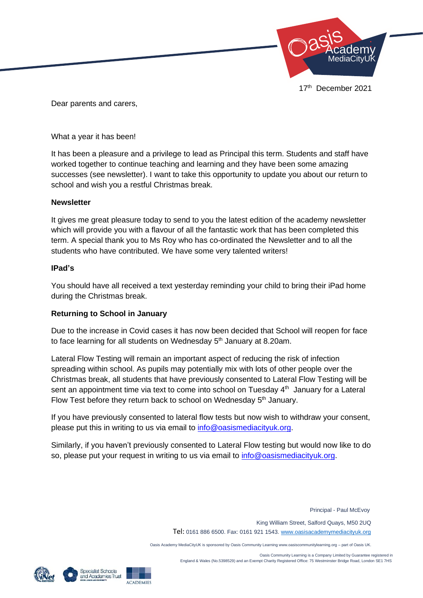

Dear parents and carers,

What a year it has been!

It has been a pleasure and a privilege to lead as Principal this term. Students and staff have worked together to continue teaching and learning and they have been some amazing successes (see newsletter). I want to take this opportunity to update you about our return to school and wish you a restful Christmas break.

## **Newsletter**

It gives me great pleasure today to send to you the latest edition of the academy newsletter which will provide you with a flavour of all the fantastic work that has been completed this term. A special thank you to Ms Roy who has co-ordinated the Newsletter and to all the students who have contributed. We have some very talented writers!

## **IPad's**

You should have all received a text yesterday reminding your child to bring their iPad home during the Christmas break.

## **Returning to School in January**

Due to the increase in Covid cases it has now been decided that School will reopen for face to face learning for all students on Wednesday  $5<sup>th</sup>$  January at 8.20am.

Lateral Flow Testing will remain an important aspect of reducing the risk of infection spreading within school. As pupils may potentially mix with lots of other people over the Christmas break, all students that have previously consented to Lateral Flow Testing will be sent an appointment time via text to come into school on Tuesday 4<sup>th</sup> January for a Lateral Flow Test before they return back to school on Wednesday 5<sup>th</sup> January.

If you have previously consented to lateral flow tests but now wish to withdraw your consent, please put this in writing to us via email to [info@oasismediacityuk.org.](mailto:info@oasismediacityuk.org)

Similarly, if you haven't previously consented to Lateral Flow testing but would now like to do so, please put your request in writing to us via email to [info@oasismediacityuk.org.](mailto:info@oasismediacityuk.org)

Principal - Paul McEvoy

 King William Street, Salford Quays, M50 2UQ Tel: 0161 886 6500. Fax: 0161 921 1543[. www.oasisacademymediacityuk.org](http://www.oasisacademymediacityuk.org/)

Oasis Academy MediaCityUK is sponsored by Oasis Community Learning www.oasiscommunitylearning.org – part of Oasis UK.

 Oasis Community Learning is a Company Limited by Guarantee registered in England & Wales (No.5398529) and an Exempt Charity Registered Office: 75 Westminster Bridge Road, London SE1 7HS





**ACADEMIES**